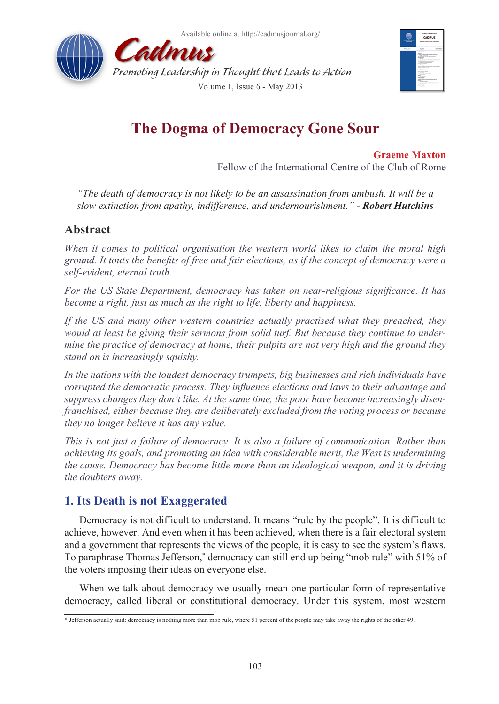



# **The Dogma of Democracy Gone Sour**

**Graeme Maxton** Fellow of the International Centre of the Club of Rome

*"The death of democracy is not likely to be an assassination from ambush. It will be a slow extinction from apathy, indifference, and undernourishment." - Robert Hutchins*

# **Abstract**

*When it comes to political organisation the western world likes to claim the moral high ground. It touts the benefits of free and fair elections, as if the concept of democracy were a self-evident, eternal truth.*

*For the US State Department, democracy has taken on near-religious significance. It has become a right, just as much as the right to life, liberty and happiness.*

If the US and many other western countries actually practised what they preached, they *would at least be giving their sermons from solid turf. But because they continue to undermine the practice of democracy at home, their pulpits are not very high and the ground they stand on is increasingly squishy.*

*In the nations with the loudest democracy trumpets, big businesses and rich individuals have corrupted the democratic process. They influence elections and laws to their advantage and suppress changes they don't like. At the same time, the poor have become increasingly disenfranchised, either because they are deliberately excluded from the voting process or because they no longer believe it has any value.*

*This is not just a failure of democracy. It is also a failure of communication. Rather than achieving its goals, and promoting an idea with considerable merit, the West is undermining the cause. Democracy has become little more than an ideological weapon, and it is driving the doubters away.*

# **1. Its Death is not Exaggerated**

Democracy is not difficult to understand. It means "rule by the people". It is difficult to achieve, however. And even when it has been achieved, when there is a fair electoral system and a government that represents the views of the people, it is easy to see the system's flaws. To paraphrase Thomas Jefferson,\* democracy can still end up being "mob rule" with 51% of the voters imposing their ideas on everyone else.

When we talk about democracy we usually mean one particular form of representative democracy, called liberal or constitutional democracy. Under this system, most western

<sup>\*</sup> Jefferson actually said: democracy is nothing more than mob rule, where 51 percent of the people may take away the rights of the other 49.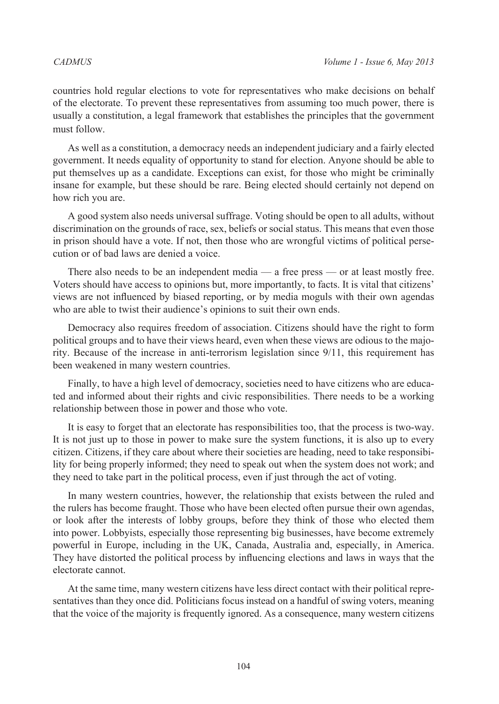countries hold regular elections to vote for representatives who make decisions on behalf of the electorate. To prevent these representatives from assuming too much power, there is usually a constitution, a legal framework that establishes the principles that the government must follow.

As well as a constitution, a democracy needs an independent judiciary and a fairly elected government. It needs equality of opportunity to stand for election. Anyone should be able to put themselves up as a candidate. Exceptions can exist, for those who might be criminally insane for example, but these should be rare. Being elected should certainly not depend on how rich you are.

A good system also needs universal suffrage. Voting should be open to all adults, without discrimination on the grounds of race, sex, beliefs or social status. This means that even those in prison should have a vote. If not, then those who are wrongful victims of political persecution or of bad laws are denied a voice.

There also needs to be an independent media — a free press — or at least mostly free. Voters should have access to opinions but, more importantly, to facts. It is vital that citizens' views are not influenced by biased reporting, or by media moguls with their own agendas who are able to twist their audience's opinions to suit their own ends.

Democracy also requires freedom of association. Citizens should have the right to form political groups and to have their views heard, even when these views are odious to the majority. Because of the increase in anti-terrorism legislation since 9/11, this requirement has been weakened in many western countries.

Finally, to have a high level of democracy, societies need to have citizens who are educated and informed about their rights and civic responsibilities. There needs to be a working relationship between those in power and those who vote.

It is easy to forget that an electorate has responsibilities too, that the process is two-way. It is not just up to those in power to make sure the system functions, it is also up to every citizen. Citizens, if they care about where their societies are heading, need to take responsibility for being properly informed; they need to speak out when the system does not work; and they need to take part in the political process, even if just through the act of voting.

In many western countries, however, the relationship that exists between the ruled and the rulers has become fraught. Those who have been elected often pursue their own agendas, or look after the interests of lobby groups, before they think of those who elected them into power. Lobbyists, especially those representing big businesses, have become extremely powerful in Europe, including in the UK, Canada, Australia and, especially, in America. They have distorted the political process by influencing elections and laws in ways that the electorate cannot.

At the same time, many western citizens have less direct contact with their political representatives than they once did. Politicians focus instead on a handful of swing voters, meaning that the voice of the majority is frequently ignored. As a consequence, many western citizens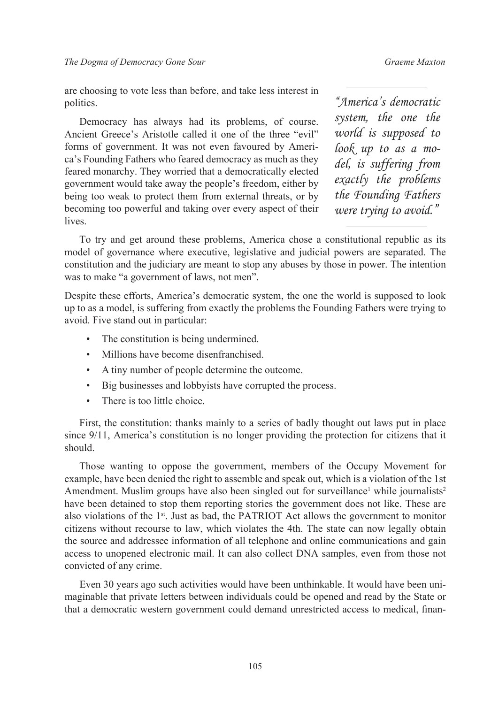are choosing to vote less than before, and take less interest in politics.

Democracy has always had its problems, of course. Ancient Greece's Aristotle called it one of the three "evil" forms of government. It was not even favoured by America's Founding Fathers who feared democracy as much as they feared monarchy. They worried that a democratically elected government would take away the people's freedom, either by being too weak to protect them from external threats, or by becoming too powerful and taking over every aspect of their **lives** 

*"America's democratic system, the one the world is supposed to look up to as a model, is suffering from exactly the problems the Founding Fathers were trying to avoid."*

To try and get around these problems, America chose a constitutional republic as its model of governance where executive, legislative and judicial powers are separated. The constitution and the judiciary are meant to stop any abuses by those in power. The intention was to make "a government of laws, not men".

Despite these efforts, America's democratic system, the one the world is supposed to look up to as a model, is suffering from exactly the problems the Founding Fathers were trying to avoid. Five stand out in particular:

- The constitution is being undermined.
- Millions have become disenfranchised.
- A tiny number of people determine the outcome.
- Big businesses and lobbyists have corrupted the process.
- There is too little choice.

First, the constitution: thanks mainly to a series of badly thought out laws put in place since 9/11, America's constitution is no longer providing the protection for citizens that it should.

Those wanting to oppose the government, members of the Occupy Movement for example, have been denied the right to assemble and speak out, which is a violation of the 1st Amendment. Muslim groups have also been singled out for surveillance<sup>[1](#page-6-0)</sup> while journalists<sup>2</sup> have been detained to stop them reporting stories the government does not like. These are also violations of the 1<sup>st</sup>. Just as bad, the PATRIOT Act allows the government to monitor citizens without recourse to law, which violates the 4th. The state can now legally obtain the source and addressee information of all telephone and online communications and gain access to unopened electronic mail. It can also collect DNA samples, even from those not convicted of any crime.

Even 30 years ago such activities would have been unthinkable. It would have been unimaginable that private letters between individuals could be opened and read by the State or that a democratic western government could demand unrestricted access to medical, finan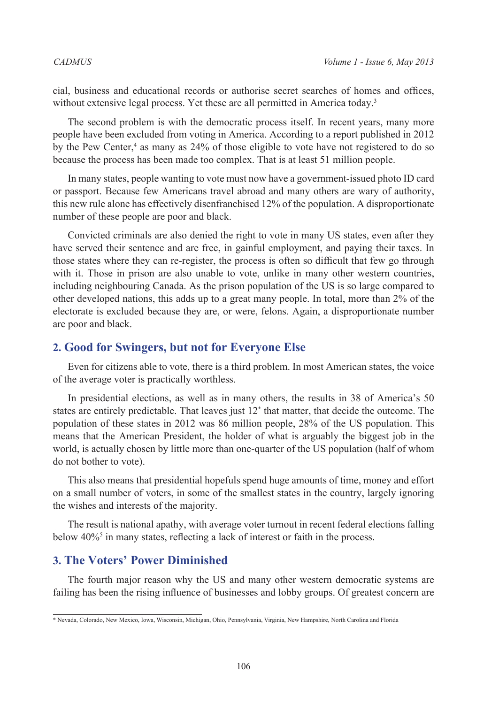cial, business and educational records or authorise secret searches of homes and offices, without extensive legal process. Yet these are all permitted in America today.<sup>[3](#page-6-2)</sup>

The second problem is with the democratic process itself. In recent years, many more people have been excluded from voting in America. According to a report published in 2012 by the Pew Center,<sup>[4](#page-6-3)</sup> as many as 24% of those eligible to vote have not registered to do so because the process has been made too complex. That is at least 51 million people.

In many states, people wanting to vote must now have a government-issued photo ID card or passport. Because few Americans travel abroad and many others are wary of authority, this new rule alone has effectively disenfranchised 12% of the population. A disproportionate number of these people are poor and black.

Convicted criminals are also denied the right to vote in many US states, even after they have served their sentence and are free, in gainful employment, and paying their taxes. In those states where they can re-register, the process is often so difficult that few go through with it. Those in prison are also unable to vote, unlike in many other western countries, including neighbouring Canada. As the prison population of the US is so large compared to other developed nations, this adds up to a great many people. In total, more than 2% of the electorate is excluded because they are, or were, felons. Again, a disproportionate number are poor and black.

#### **2. Good for Swingers, but not for Everyone Else**

Even for citizens able to vote, there is a third problem. In most American states, the voice of the average voter is practically worthless.

In presidential elections, as well as in many others, the results in 38 of America's 50 states are entirely predictable. That leaves just 12\* that matter, that decide the outcome. The population of these states in 2012 was 86 million people, 28% of the US population. This means that the American President, the holder of what is arguably the biggest job in the world, is actually chosen by little more than one-quarter of the US population (half of whom do not bother to vote).

This also means that presidential hopefuls spend huge amounts of time, money and effort on a small number of voters, in some of the smallest states in the country, largely ignoring the wishes and interests of the majority.

The result is national apathy, with average voter turnout in recent federal elections falling below 40%<sup>5</sup> in many states, reflecting a lack of interest or faith in the process.

## **3. The Voters' Power Diminished**

The fourth major reason why the US and many other western democratic systems are failing has been the rising influence of businesses and lobby groups. Of greatest concern are

<sup>\*</sup> Nevada, Colorado, New Mexico, Iowa, Wisconsin, Michigan, Ohio, Pennsylvania, Virginia, New Hampshire, North Carolina and Florida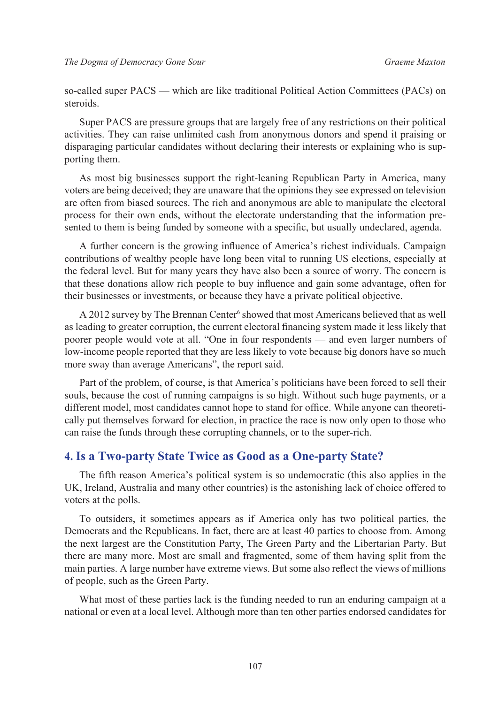so-called super PACS — which are like traditional Political Action Committees (PACs) on steroids.

Super PACS are pressure groups that are largely free of any restrictions on their political activities. They can raise unlimited cash from anonymous donors and spend it praising or disparaging particular candidates without declaring their interests or explaining who is supporting them.

As most big businesses support the right-leaning Republican Party in America, many voters are being deceived; they are unaware that the opinions they see expressed on television are often from biased sources. The rich and anonymous are able to manipulate the electoral process for their own ends, without the electorate understanding that the information presented to them is being funded by someone with a specific, but usually undeclared, agenda.

A further concern is the growing influence of America's richest individuals. Campaign contributions of wealthy people have long been vital to running US elections, especially at the federal level. But for many years they have also been a source of worry. The concern is that these donations allow rich people to buy influence and gain some advantage, often for their businesses or investments, or because they have a private political objective.

A 2012 survey by The Brennan Center<sup>[6](#page-6-5)</sup> showed that most Americans believed that as well as leading to greater corruption, the current electoral financing system made it less likely that poorer people would vote at all. "One in four respondents — and even larger numbers of low-income people reported that they are less likely to vote because big donors have so much more sway than average Americans", the report said.

Part of the problem, of course, is that America's politicians have been forced to sell their souls, because the cost of running campaigns is so high. Without such huge payments, or a different model, most candidates cannot hope to stand for office. While anyone can theoretically put themselves forward for election, in practice the race is now only open to those who can raise the funds through these corrupting channels, or to the super-rich.

## **4. Is a Two-party State Twice as Good as a One-party State?**

The fifth reason America's political system is so undemocratic (this also applies in the UK, Ireland, Australia and many other countries) is the astonishing lack of choice offered to voters at the polls.

To outsiders, it sometimes appears as if America only has two political parties, the Democrats and the Republicans. In fact, there are at least 40 parties to choose from. Among the next largest are the Constitution Party, The Green Party and the Libertarian Party. But there are many more. Most are small and fragmented, some of them having split from the main parties. A large number have extreme views. But some also reflect the views of millions of people, such as the Green Party.

What most of these parties lack is the funding needed to run an enduring campaign at a national or even at a local level. Although more than ten other parties endorsed candidates for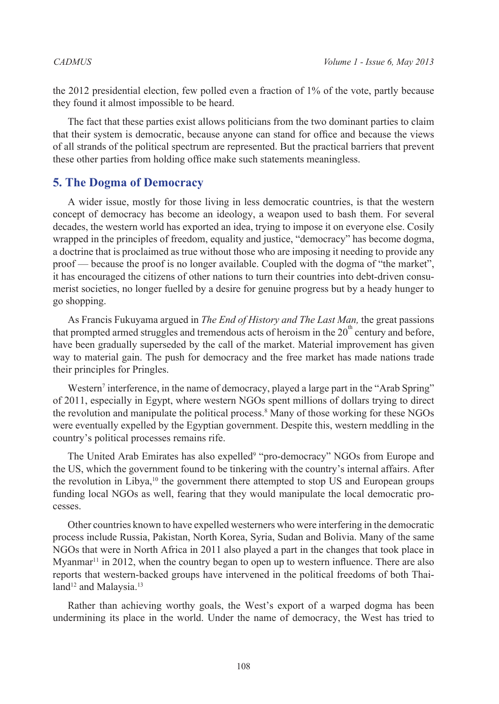the 2012 presidential election, few polled even a fraction of 1% of the vote, partly because they found it almost impossible to be heard.

The fact that these parties exist allows politicians from the two dominant parties to claim that their system is democratic, because anyone can stand for office and because the views of all strands of the political spectrum are represented. But the practical barriers that prevent these other parties from holding office make such statements meaningless.

### **5. The Dogma of Democracy**

A wider issue, mostly for those living in less democratic countries, is that the western concept of democracy has become an ideology, a weapon used to bash them. For several decades, the western world has exported an idea, trying to impose it on everyone else. Cosily wrapped in the principles of freedom, equality and justice, "democracy" has become dogma, a doctrine that is proclaimed as true without those who are imposing it needing to provide any proof — because the proof is no longer available. Coupled with the dogma of "the market", it has encouraged the citizens of other nations to turn their countries into debt-driven consumerist societies, no longer fuelled by a desire for genuine progress but by a heady hunger to go shopping.

As Francis Fukuyama argued in *The End of History and The Last Man,* the great passions that prompted armed struggles and tremendous acts of heroism in the  $20<sup>m</sup>$  century and before, have been gradually superseded by the call of the market. Material improvement has given way to material gain. The push for democracy and the free market has made nations trade their principles for Pringles.

Western<sup>[7](#page-6-6)</sup> interference, in the name of democracy, played a large part in the "Arab Spring" of 2011, especially in Egypt, where western NGOs spent millions of dollars trying to direct the revolution and manipulate the political process.<sup>8</sup> Many of those working for these NGOs were eventually expelled by the Egyptian government. Despite this, western meddling in the country's political processes remains rife.

The United Arab Emirates has also expelled<sup>9</sup> "pro-democracy" NGOs from Europe and the US, which the government found to be tinkering with the country's internal affairs. After the revolution in Libya, $10$  the government there attempted to stop US and European groups funding local NGOs as well, fearing that they would manipulate the local democratic processes.

Other countries known to have expelled westerners who were interfering in the democratic process include Russia, Pakistan, North Korea, Syria, Sudan and Bolivia. Many of the same NGOs that were in North Africa in 2011 also played a part in the changes that took place in Myanmar<sup>[11](#page-6-10)</sup> in 2012, when the country began to open up to western influence. There are also reports that western-backed groups have intervened in the political freedoms of both Thai-land<sup>12</sup> and Malaysia.<sup>[13](#page-6-12)</sup>

Rather than achieving worthy goals, the West's export of a warped dogma has been undermining its place in the world. Under the name of democracy, the West has tried to